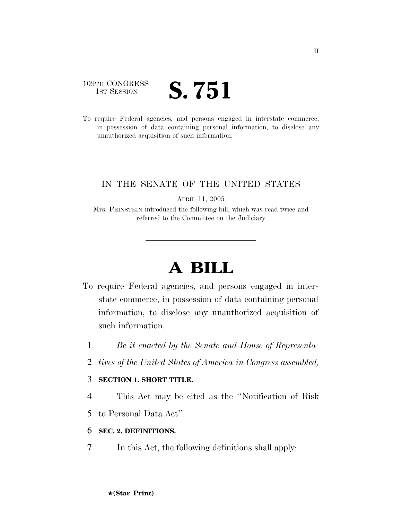# 109TH CONGRESS TH CONGRESS **S. 751**

To require Federal agencies, and persons engaged in interstate commerce, in possession of data containing personal information, to disclose any unauthorized acquisition of such information.

## IN THE SENATE OF THE UNITED STATES

APRIL 11, 2005

Mrs. FEINSTEIN introduced the following bill; which was read twice and referred to the Committee on the Judiciary

# **A BILL**

- To require Federal agencies, and persons engaged in interstate commerce, in possession of data containing personal information, to disclose any unauthorized acquisition of such information.
	- 1 *Be it enacted by the Senate and House of Representa-*
	- 2 *tives of the United States of America in Congress assembled,*

#### 3 **SECTION 1. SHORT TITLE.**

- 4 This Act may be cited as the ''Notification of Risk
- 5 to Personal Data Act''.

## 6 **SEC. 2. DEFINITIONS.**

7 In this Act, the following definitions shall apply: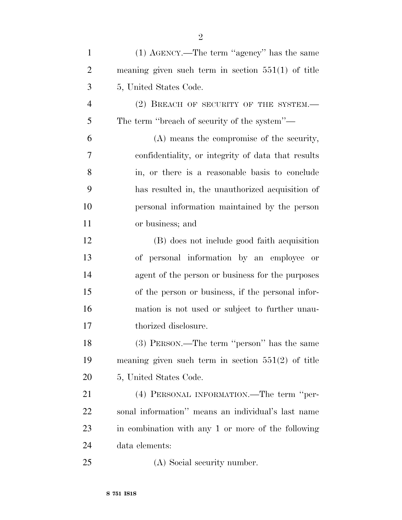| $\mathbf{1}$   | (1) AGENCY.—The term "agency" has the same           |
|----------------|------------------------------------------------------|
| $\overline{2}$ | meaning given such term in section $551(1)$ of title |
| 3              | 5, United States Code.                               |
| $\overline{4}$ | $(2)$ BREACH OF SECURITY OF THE SYSTEM.—             |
| 5              | The term "breach of security of the system"—         |
| 6              | (A) means the compromise of the security,            |
| 7              | confidentiality, or integrity of data that results   |
| 8              | in, or there is a reasonable basis to conclude       |
| 9              | has resulted in, the unauthorized acquisition of     |
| 10             | personal information maintained by the person        |
| 11             | or business; and                                     |
| 12             | (B) does not include good faith acquisition          |
| 13             | of personal information by an employee or            |
| 14             | agent of the person or business for the purposes     |
| 15             | of the person or business, if the personal infor-    |
| 16             | mation is not used or subject to further unau-       |
| 17             | thorized disclosure.                                 |
| 18             | (3) PERSON.—The term "person" has the same           |
| 19             | meaning given such term in section $551(2)$ of title |
| 20             | 5, United States Code.                               |
| 21             | (4) PERSONAL INFORMATION.—The term "per-             |
| <u>22</u>      | sonal information" means an individual's last name   |
| 23             | in combination with any 1 or more of the following   |
| 24             | data elements:                                       |
| 25             | (A) Social security number.                          |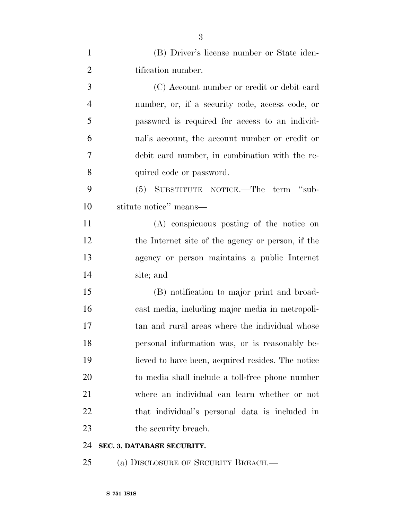| $\mathbf{1}$   | (B) Driver's license number or State iden-        |
|----------------|---------------------------------------------------|
| $\overline{2}$ | tification number.                                |
| 3              | (C) Account number or credit or debit card        |
| $\overline{4}$ | number, or, if a security code, access code, or   |
| 5              | password is required for access to an individ-    |
| 6              | ual's account, the account number or credit or    |
| 7              | debit card number, in combination with the re-    |
| 8              | quired code or password.                          |
| 9              | (5) SUBSTITUTE NOTICE.—The term "sub-             |
| 10             | stitute notice" means—                            |
| 11             | (A) conspicuous posting of the notice on          |
| 12             | the Internet site of the agency or person, if the |
| 13             | agency or person maintains a public Internet      |
| 14             | site; and                                         |
| 15             | (B) notification to major print and broad-        |
| 16             | cast media, including major media in metropoli-   |
| 17             | tan and rural areas where the individual whose    |
| 18             | personal information was, or is reasonably be-    |
| 19             | lieved to have been, acquired resides. The notice |
| 20             | to media shall include a toll-free phone number   |
| 21             | where an individual can learn whether or not      |
| 22             | that individual's personal data is included in    |
| 23             | the security breach.                              |
| 24             | SEC. 3. DATABASE SECURITY.                        |

25 (a) DISCLOSURE OF SECURITY BREACH.—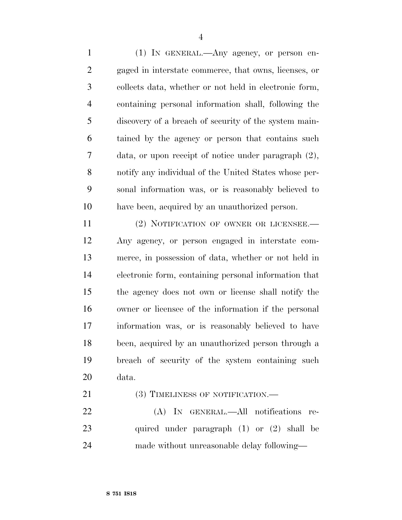(1) IN GENERAL.—Any agency, or person en- gaged in interstate commerce, that owns, licenses, or collects data, whether or not held in electronic form, containing personal information shall, following the discovery of a breach of security of the system main- tained by the agency or person that contains such data, or upon receipt of notice under paragraph (2), notify any individual of the United States whose per- sonal information was, or is reasonably believed to have been, acquired by an unauthorized person.

11 (2) NOTIFICATION OF OWNER OR LICENSEE. Any agency, or person engaged in interstate com- merce, in possession of data, whether or not held in electronic form, containing personal information that the agency does not own or license shall notify the owner or licensee of the information if the personal information was, or is reasonably believed to have been, acquired by an unauthorized person through a breach of security of the system containing such data.

21 (3) TIMELINESS OF NOTIFICATION.—

 (A) IN GENERAL.—All notifications re- quired under paragraph (1) or (2) shall be made without unreasonable delay following—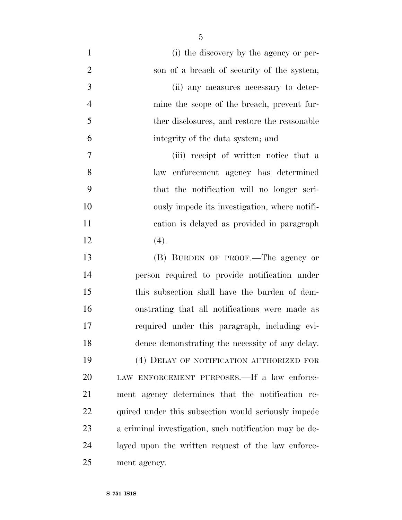(i) the discovery by the agency or per-2 son of a breach of security of the system; (ii) any measures necessary to deter- mine the scope of the breach, prevent fur- ther disclosures, and restore the reasonable integrity of the data system; and (iii) receipt of written notice that a law enforcement agency has determined that the notification will no longer seri- ously impede its investigation, where notifi- cation is delayed as provided in paragraph (4). (B) BURDEN OF PROOF.—The agency or person required to provide notification under this subsection shall have the burden of dem- onstrating that all notifications were made as required under this paragraph, including evi-

 (4) DELAY OF NOTIFICATION AUTHORIZED FOR LAW ENFORCEMENT PURPOSES.—If a law enforce- ment agency determines that the notification re-22 quired under this subsection would seriously impede a criminal investigation, such notification may be de- layed upon the written request of the law enforce-ment agency.

dence demonstrating the necessity of any delay.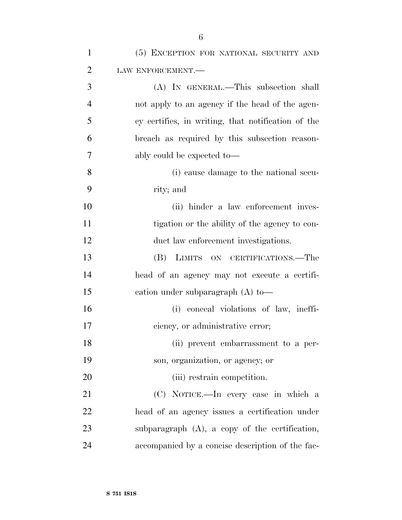| $\mathbf{1}$   | (5) EXCEPTION FOR NATIONAL SECURITY AND            |
|----------------|----------------------------------------------------|
| $\overline{2}$ | LAW ENFORCEMENT.-                                  |
| 3              | (A) IN GENERAL.—This subsection shall              |
| $\overline{4}$ | not apply to an agency if the head of the agen-    |
| 5              | cy certifies, in writing, that notification of the |
| 6              | breach as required by this subsection reason-      |
| 7              | ably could be expected to-                         |
| 8              | (i) cause damage to the national secu-             |
| 9              | rity; and                                          |
| 10             | (ii) hinder a law enforcement inves-               |
| 11             | tigation or the ability of the agency to con-      |
| 12             | duct law enforcement investigations.               |
| 13             | (B)<br>LIMITS ON CERTIFICATIONS.—The               |
| 14             | head of an agency may not execute a certifi-       |
| 15             | cation under subparagraph $(A)$ to —               |
| 16             | (i) conceal violations of law, ineffi-             |
| 17             | ciency, or administrative error;                   |
| 18             | (ii) prevent embarrassment to a per-               |
| 19             | son, organization, or agency; or                   |
| 20             | (iii) restrain competition.                        |
| 21             | (C) NOTICE.—In every case in which a               |
| 22             | head of an agency issues a certification under     |
| 23             | subparagraph $(A)$ , a copy of the certification,  |
| 24             | accompanied by a concise description of the fac-   |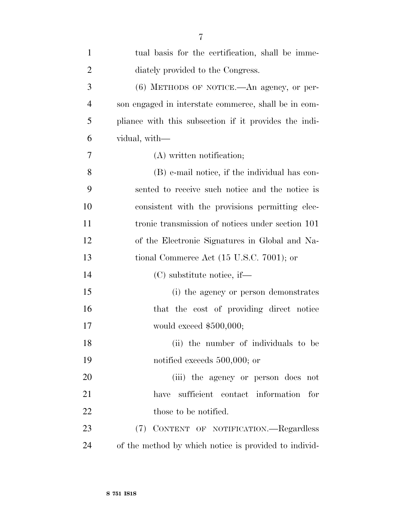| $\mathbf{1}$   | tual basis for the certification, shall be imme-      |
|----------------|-------------------------------------------------------|
| $\overline{2}$ | diately provided to the Congress.                     |
| 3              | $(6)$ METHODS OF NOTICE.—An agency, or per-           |
| $\overline{4}$ | son engaged in interstate commerce, shall be in com-  |
| 5              | pliance with this subsection if it provides the indi- |
| 6              | vidual, with—                                         |
| 7              | (A) written notification;                             |
| 8              | (B) e-mail notice, if the individual has con-         |
| 9              | sented to receive such notice and the notice is       |
| 10             | consistent with the provisions permitting elec-       |
| 11             | tronic transmission of notices under section 101      |
| 12             | of the Electronic Signatures in Global and Na-        |
| 13             | tional Commerce Act $(15 \text{ U.S.C. } 7001)$ ; or  |
| 14             | $(C)$ substitute notice, if—                          |
| 15             | (i) the agency or person demonstrates                 |
| 16             | that the cost of providing direct notice              |
| 17             | would exceed $$500,000;$                              |
| 18             | (ii) the number of individuals to be                  |
| 19             | notified exceeds $500,000$ ; or                       |
| 20             | (iii) the agency or person does not                   |
| 21             | sufficient contact information for<br>have            |
| 22             | those to be notified.                                 |
| 23             | (7)<br>CONTENT OF NOTIFICATION. Regardless            |
| 24             | of the method by which notice is provided to individ- |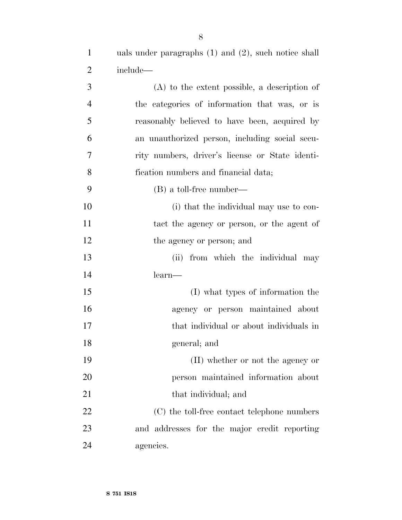1 uals under paragraphs (1) and (2), such notice shall include—

| 3              | $(A)$ to the extent possible, a description of  |
|----------------|-------------------------------------------------|
| $\overline{4}$ | the categories of information that was, or is   |
| 5              | reasonably believed to have been, acquired by   |
| 6              | an unauthorized person, including social secu-  |
| $\overline{7}$ | rity numbers, driver's license or State identi- |
| 8              | fication numbers and financial data;            |
| 9              | $(B)$ a toll-free number—                       |
| 10             | (i) that the individual may use to con-         |
| 11             | tact the agency or person, or the agent of      |
| 12             | the agency or person; and                       |
| 13             | (ii) from which the individual may              |
| 14             | learn—                                          |
| 15             | (I) what types of information the               |
| 16             | agency or person maintained about               |
| 17             | that individual or about individuals in         |
| 18             | general; and                                    |
| 19             | (II) whether or not the agency or               |
| 20             | person maintained information about             |
| 21             | that individual; and                            |
| 22             | (C) the toll-free contact telephone numbers     |
| 23             | and addresses for the major credit reporting    |
| 24             | agencies.                                       |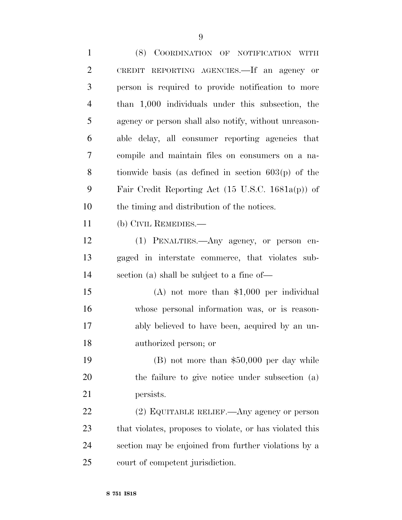(8) COORDINATION OF NOTIFICATION WITH CREDIT REPORTING AGENCIES.—If an agency or person is required to provide notification to more than 1,000 individuals under this subsection, the agency or person shall also notify, without unreason- able delay, all consumer reporting agencies that compile and maintain files on consumers on a na- tionwide basis (as defined in section 603(p) of the Fair Credit Reporting Act (15 U.S.C. 1681a(p)) of the timing and distribution of the notices. (b) CIVIL REMEDIES.— (1) PENALTIES.—Any agency, or person en- gaged in interstate commerce, that violates sub- section (a) shall be subject to a fine of— (A) not more than \$1,000 per individual whose personal information was, or is reason- ably believed to have been, acquired by an un- authorized person; or (B) not more than \$50,000 per day while the failure to give notice under subsection (a) persists. (2) EQUITABLE RELIEF.—Any agency or person that violates, proposes to violate, or has violated this section may be enjoined from further violations by a court of competent jurisdiction.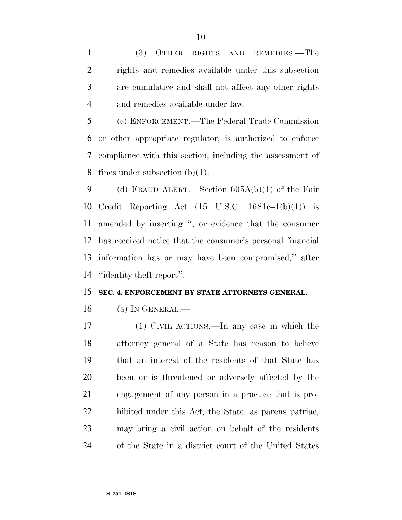(3) OTHER RIGHTS AND REMEDIES.—The rights and remedies available under this subsection are cumulative and shall not affect any other rights and remedies available under law.

 (c) ENFORCEMENT.—The Federal Trade Commission or other appropriate regulator, is authorized to enforce compliance with this section, including the assessment of 8 fines under subsection  $(b)(1)$ .

 (d) FRAUD ALERT.—Section 605A(b)(1) of the Fair Credit Reporting Act (15 U.S.C. 1681c–1(b)(1)) is amended by inserting '', or evidence that the consumer has received notice that the consumer's personal financial information has or may have been compromised,'' after ''identity theft report''.

#### **SEC. 4. ENFORCEMENT BY STATE ATTORNEYS GENERAL.**

(a) IN GENERAL.—

 (1) CIVIL ACTIONS.—In any case in which the attorney general of a State has reason to believe that an interest of the residents of that State has been or is threatened or adversely affected by the engagement of any person in a practice that is pro- hibited under this Act, the State, as parens patriae, may bring a civil action on behalf of the residents of the State in a district court of the United States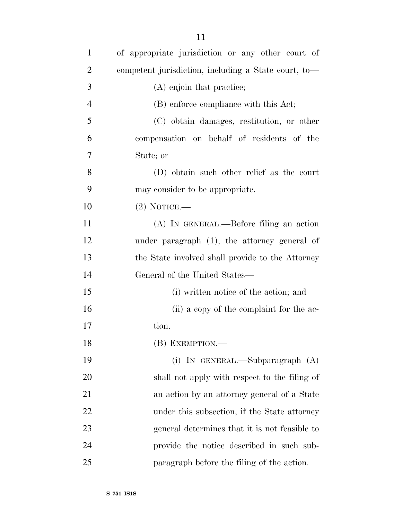| $\mathbf{1}$   | of appropriate jurisdiction or any other court of    |
|----------------|------------------------------------------------------|
| $\overline{2}$ | competent jurisdiction, including a State court, to- |
| 3              | (A) enjoin that practice;                            |
| $\overline{4}$ | (B) enforce compliance with this Act;                |
| 5              | (C) obtain damages, restitution, or other            |
| 6              | compensation on behalf of residents of the           |
| 7              | State; or                                            |
| 8              | (D) obtain such other relief as the court            |
| 9              | may consider to be appropriate.                      |
| 10             | $(2)$ NOTICE.—                                       |
| 11             | (A) IN GENERAL.—Before filing an action              |
| 12             | under paragraph $(1)$ , the attorney general of      |
| 13             | the State involved shall provide to the Attorney     |
| 14             | General of the United States—                        |
| 15             | (i) written notice of the action; and                |
| 16             | (ii) a copy of the complaint for the ac-             |
| 17             | tion.                                                |
| 18             | (B) EXEMPTION.-                                      |
| 19             | (i) IN GENERAL.—Subparagraph $(A)$                   |
| 20             | shall not apply with respect to the filing of        |
| 21             | an action by an attorney general of a State          |
| 22             | under this subsection, if the State attorney         |
| 23             | general determines that it is not feasible to        |
| 24             | provide the notice described in such sub-            |
| 25             | paragraph before the filing of the action.           |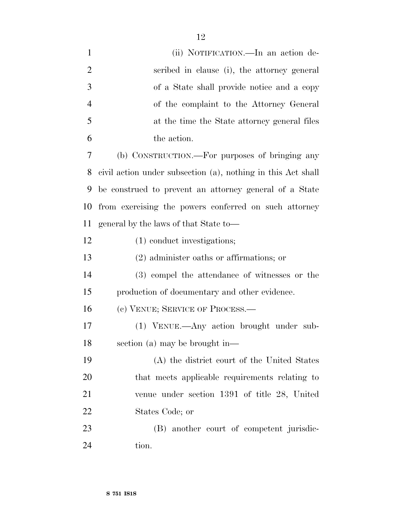| $\mathbf{1}$   | (ii) NOTIFICATION.—In an action de-                          |
|----------------|--------------------------------------------------------------|
| $\overline{2}$ | scribed in clause (i), the attorney general                  |
| 3              | of a State shall provide notice and a copy                   |
| $\overline{4}$ | of the complaint to the Attorney General                     |
| 5              | at the time the State attorney general files                 |
| 6              | the action.                                                  |
| 7              | (b) CONSTRUCTION.—For purposes of bringing any               |
| 8              | civil action under subsection (a), nothing in this Act shall |
| 9              | be construed to prevent an attorney general of a State       |
| 10             | from exercising the powers conferred on such attorney        |
| 11             | general by the laws of that State to-                        |
| 12             | (1) conduct investigations;                                  |
| 13             | $(2)$ administer oaths or affirmations; or                   |
| 14             | (3) compel the attendance of witnesses or the                |
| 15             | production of documentary and other evidence.                |
| 16             | (c) VENUE; SERVICE OF PROCESS.—                              |
| 17             | (1) VENUE.—Any action brought under sub-                     |
| 18             | section (a) may be brought in—                               |
| 19             | (A) the district court of the United States                  |
| 20             | that meets applicable requirements relating to               |
| 21             | venue under section 1391 of title 28, United                 |
| 22             | States Code; or                                              |
| 23             | (B) another court of competent jurisdic-                     |
| 24             | tion.                                                        |